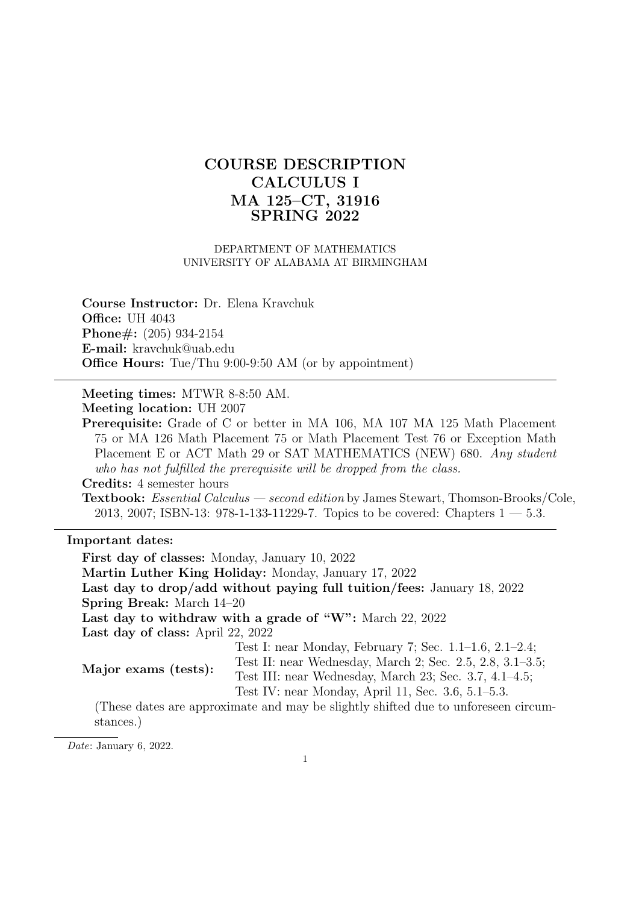# COURSE DESCRIPTION CALCULUS I MA 125–CT, 31916 SPRING 2022

#### DEPARTMENT OF MATHEMATICS UNIVERSITY OF ALABAMA AT BIRMINGHAM

Course Instructor: Dr. Elena Kravchuk **Office: UH 4043** Phone#: (205) 934-2154 E-mail: kravchuk@uab.edu Office Hours: Tue/Thu 9:00-9:50 AM (or by appointment)

Meeting times: MTWR 8-8:50 AM. Meeting location: UH 2007

Prerequisite: Grade of C or better in MA 106, MA 107 MA 125 Math Placement 75 or MA 126 Math Placement 75 or Math Placement Test 76 or Exception Math Placement E or ACT Math 29 or SAT MATHEMATICS (NEW) 680. Any student who has not fulfilled the prerequisite will be dropped from the class.

Credits: 4 semester hours

Textbook: Essential Calculus — second edition by James Stewart, Thomson-Brooks/Cole, 2013, 2007; ISBN-13: 978-1-133-11229-7. Topics to be covered: Chapters  $1 - 5.3$ .

### Important dates:

First day of classes: Monday, January 10, 2022 Martin Luther King Holiday: Monday, January 17, 2022 Last day to drop/add without paying full tuition/fees: January 18, 2022 Spring Break: March 14–20 Last day to withdraw with a grade of "W": March 22, 2022 Last day of class: April 22, 2022 Major exams (tests): Test I: near Monday, February 7; Sec. 1.1–1.6, 2.1–2.4; Test II: near Wednesday, March 2; Sec. 2.5, 2.8, 3.1–3.5; Test III: near Wednesday, March 23; Sec. 3.7, 4.1–4.5; Test IV: near Monday, April 11, Sec. 3.6, 5.1–5.3. (These dates are approximate and may be slightly shifted due to unforeseen circumstances.)

Date: January 6, 2022.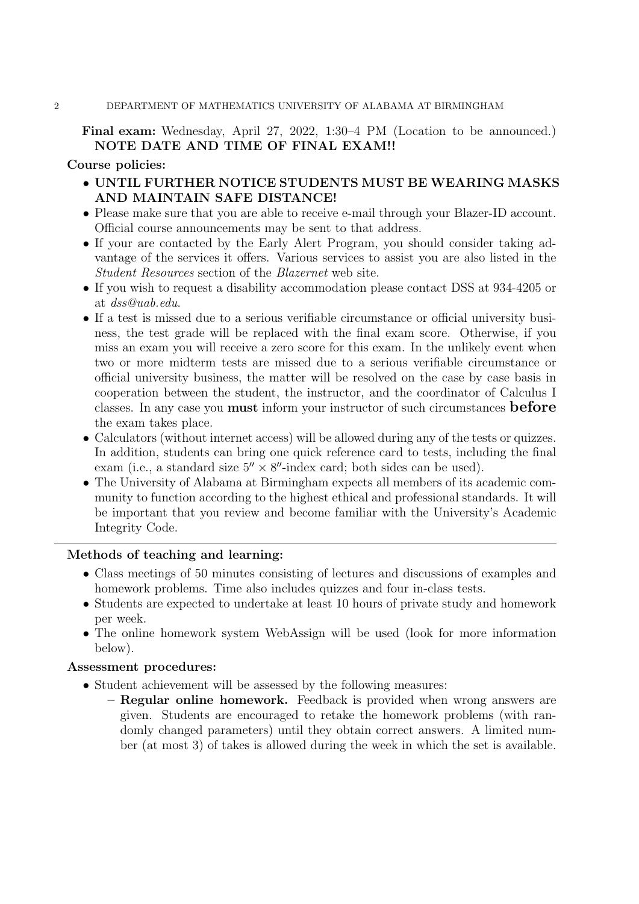#### 2 DEPARTMENT OF MATHEMATICS UNIVERSITY OF ALABAMA AT BIRMINGHAM

## Final exam: Wednesday, April 27, 2022, 1:30–4 PM (Location to be announced.) NOTE DATE AND TIME OF FINAL EXAM!!

#### Course policies:

- UNTIL FURTHER NOTICE STUDENTS MUST BE WEARING MASKS AND MAINTAIN SAFE DISTANCE!
- Please make sure that you are able to receive e-mail through your Blazer-ID account. Official course announcements may be sent to that address.
- If your are contacted by the Early Alert Program, you should consider taking advantage of the services it offers. Various services to assist you are also listed in the Student Resources section of the Blazernet web site.
- If you wish to request a disability accommodation please contact DSS at 934-4205 or at dss@uab.edu.
- If a test is missed due to a serious verifiable circumstance or official university business, the test grade will be replaced with the final exam score. Otherwise, if you miss an exam you will receive a zero score for this exam. In the unlikely event when two or more midterm tests are missed due to a serious verifiable circumstance or official university business, the matter will be resolved on the case by case basis in cooperation between the student, the instructor, and the coordinator of Calculus I classes. In any case you must inform your instructor of such circumstances before the exam takes place.
- Calculators (without internet access) will be allowed during any of the tests or quizzes. In addition, students can bring one quick reference card to tests, including the final exam (i.e., a standard size  $5'' \times 8''$ -index card; both sides can be used).
- The University of Alabama at Birmingham expects all members of its academic community to function according to the highest ethical and professional standards. It will be important that you review and become familiar with the University's Academic Integrity Code.

## Methods of teaching and learning:

- Class meetings of 50 minutes consisting of lectures and discussions of examples and homework problems. Time also includes quizzes and four in-class tests.
- Students are expected to undertake at least 10 hours of private study and homework per week.
- The online homework system WebAssign will be used (look for more information below).

#### Assessment procedures:

- Student achievement will be assessed by the following measures:
	- Regular online homework. Feedback is provided when wrong answers are given. Students are encouraged to retake the homework problems (with randomly changed parameters) until they obtain correct answers. A limited number (at most 3) of takes is allowed during the week in which the set is available.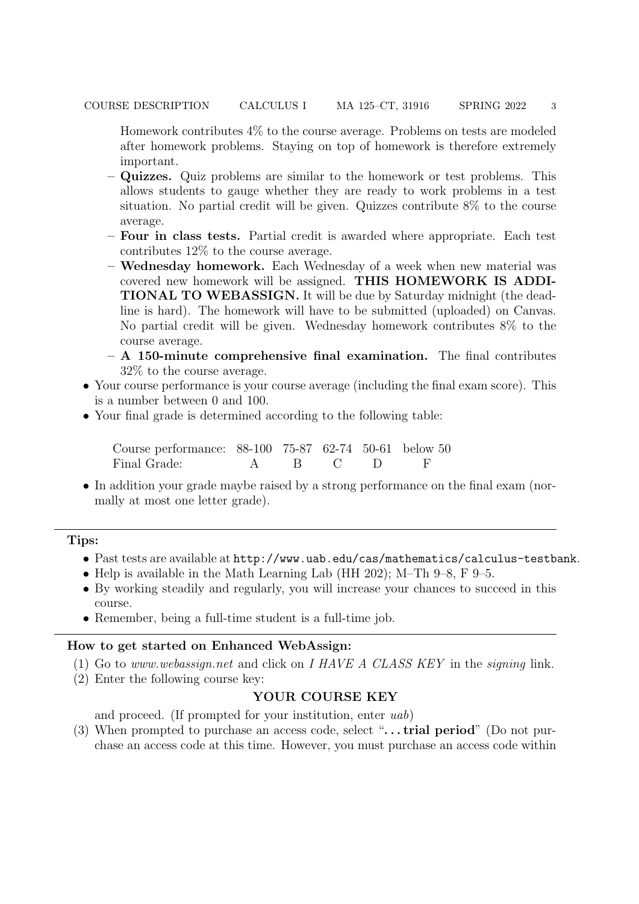Homework contributes 4% to the course average. Problems on tests are modeled after homework problems. Staying on top of homework is therefore extremely important.

- Quizzes. Quiz problems are similar to the homework or test problems. This allows students to gauge whether they are ready to work problems in a test situation. No partial credit will be given. Quizzes contribute 8% to the course average.
- Four in class tests. Partial credit is awarded where appropriate. Each test contributes 12% to the course average.
- Wednesday homework. Each Wednesday of a week when new material was covered new homework will be assigned. THIS HOMEWORK IS ADDI-TIONAL TO WEBASSIGN. It will be due by Saturday midnight (the deadline is hard). The homework will have to be submitted (uploaded) on Canvas. No partial credit will be given. Wednesday homework contributes 8% to the course average.
- $A$  150-minute comprehensive final examination. The final contributes 32% to the course average.
- Your course performance is your course average (including the final exam score). This is a number between 0 and 100.
- Your final grade is determined according to the following table:

Course performance: 88-100 75-87 62-74 50-61 below 50 Final Grade: A B C D F

• In addition your grade maybe raised by a strong performance on the final exam (normally at most one letter grade).

### Tips:

- Past tests are available at http://www.uab.edu/cas/mathematics/calculus-testbank.
- Help is available in the Math Learning Lab (HH 202); M–Th 9–8, F 9–5.
- By working steadily and regularly, you will increase your chances to succeed in this course.
- Remember, being a full-time student is a full-time job.

### How to get started on Enhanced WebAssign:

- (1) Go to www.webassign.net and click on I HAVE A CLASS KEY in the signing link.
- (2) Enter the following course key:

#### YOUR COURSE KEY

and proceed. (If prompted for your institution, enter uab)

(3) When prompted to purchase an access code, select " $\dots$  trial period" (Do not purchase an access code at this time. However, you must purchase an access code within